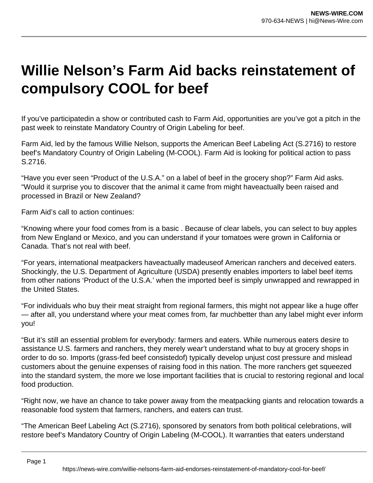## **Willie Nelson's Farm Aid backs reinstatement of compulsory COOL for beef**

If you've participatedin a show or contributed cash to Farm Aid, opportunities are you've got a pitch in the past week to reinstate Mandatory Country of Origin Labeling for beef.

Farm Aid, led by the famous Willie Nelson, supports the American Beef Labeling Act (S.2716) to restore beef's Mandatory Country of Origin Labeling (M-COOL). Farm Aid is looking for political action to pass S.2716.

"Have you ever seen "Product of the U.S.A." on a label of beef in the grocery shop?" Farm Aid asks. "Would it surprise you to discover that the animal it came from might haveactually been raised and processed in Brazil or New Zealand?

Farm Aid's call to action continues:

"Knowing where your food comes from is a basic . Because of clear labels, you can select to buy apples from New England or Mexico, and you can understand if your tomatoes were grown in California or Canada. That's not real with beef.

"For years, international meatpackers haveactually madeuseof American ranchers and deceived eaters. Shockingly, the U.S. Department of Agriculture (USDA) presently enables importers to label beef items from other nations 'Product of the U.S.A.' when the imported beef is simply unwrapped and rewrapped in the United States.

"For individuals who buy their meat straight from regional farmers, this might not appear like a huge offer — after all, you understand where your meat comes from, far muchbetter than any label might ever inform you!

"But it's still an essential problem for everybody: farmers and eaters. While numerous eaters desire to assistance U.S. farmers and ranchers, they merely wear't understand what to buy at grocery shops in order to do so. Imports (grass-fed beef consistedof) typically develop unjust cost pressure and mislead customers about the genuine expenses of raising food in this nation. The more ranchers get squeezed into the standard system, the more we lose important facilities that is crucial to restoring regional and local food production.

"Right now, we have an chance to take power away from the meatpacking giants and relocation towards a reasonable food system that farmers, ranchers, and eaters can trust.

"The American Beef Labeling Act (S.2716), sponsored by senators from both political celebrations, will restore beef's Mandatory Country of Origin Labeling (M-COOL). It warranties that eaters understand